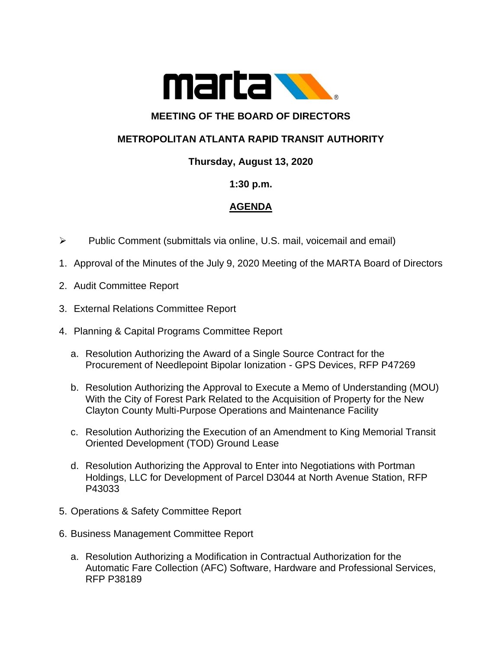

# **MEETING OF THE BOARD OF DIRECTORS**

## **METROPOLITAN ATLANTA RAPID TRANSIT AUTHORITY**

### **Thursday, August 13, 2020**

#### **1:30 p.m.**

### **AGENDA**

- ➢ Public Comment (submittals via online, U.S. mail, voicemail and email)
- 1. Approval of the Minutes of the July 9, 2020 Meeting of the MARTA Board of Directors
- 2. Audit Committee Report
- 3. External Relations Committee Report
- 4. Planning & Capital Programs Committee Report
	- a. Resolution Authorizing the Award of a Single Source Contract for the Procurement of Needlepoint Bipolar Ionization - GPS Devices, RFP P47269
	- b. Resolution Authorizing the Approval to Execute a Memo of Understanding (MOU) With the City of Forest Park Related to the Acquisition of Property for the New Clayton County Multi-Purpose Operations and Maintenance Facility
	- c. Resolution Authorizing the Execution of an Amendment to King Memorial Transit Oriented Development (TOD) Ground Lease
	- d. Resolution Authorizing the Approval to Enter into Negotiations with Portman Holdings, LLC for Development of Parcel D3044 at North Avenue Station, RFP P43033
- 5. Operations & Safety Committee Report
- 6. Business Management Committee Report
	- a. Resolution Authorizing a Modification in Contractual Authorization for the Automatic Fare Collection (AFC) Software, Hardware and Professional Services, RFP P38189